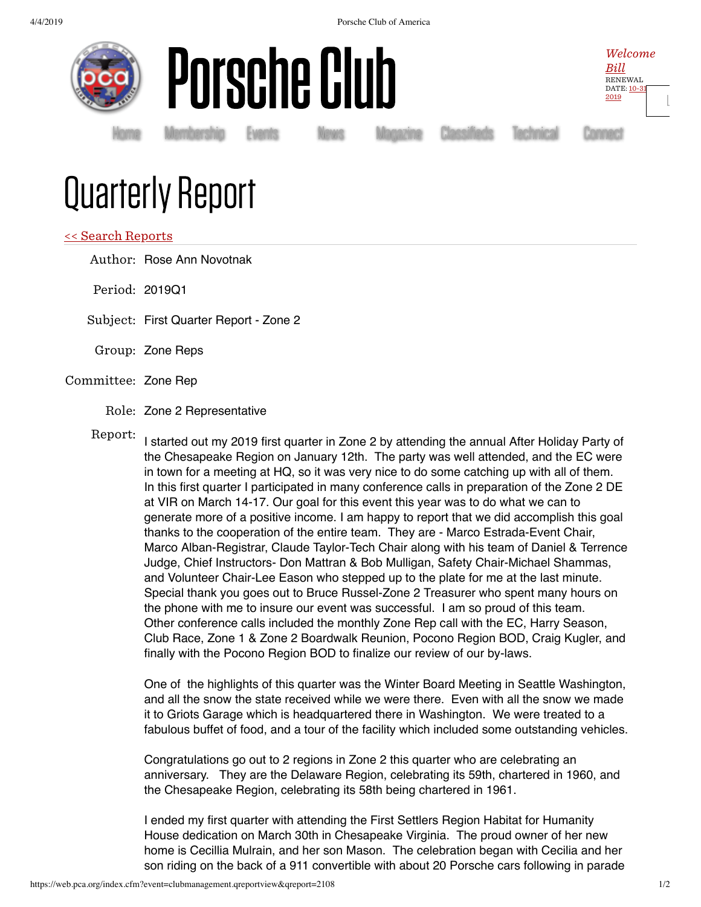



Home Membership Events Mews Magazine Classifieds Technical Connect

Welcome  $Bill$ RENEWAL DATE: 10-31 2019

[Ŀ](https://web.pca.org/index.cfm?event=general.logout)

# Quarterly Report

## << Search Reports

Author: Rose Ann Novotnak

Period: 2019Q1

Subject: First Quarter Report - Zone 2

Group: Zone Reps

## Committee: Zone Rep

Role: Zone 2 Representative

Report:

I started out my 2019 first quarter in Zone 2 by attending the annual After Holiday Party of the Chesapeake Region on January 12th. The party was well attended, and the EC were in town for a meeting at HQ, so it was very nice to do some catching up with all of them. In this first quarter I participated in many conference calls in preparation of the Zone 2 DE at VIR on March 14-17. Our goal for this event this year was to do what we can to generate more of a positive income. I am happy to report that we did accomplish this goal thanks to the cooperation of the entire team. They are - Marco Estrada-Event Chair, Marco Alban-Registrar, Claude Taylor-Tech Chair along with his team of Daniel & Terrence Judge, Chief Instructors- Don Mattran & Bob Mulligan, Safety Chair-Michael Shammas, and Volunteer Chair-Lee Eason who stepped up to the plate for me at the last minute. Special thank you goes out to Bruce Russel-Zone 2 Treasurer who spent many hours on the phone with me to insure our event was successful. I am so proud of this team. Other conference calls included the monthly Zone Rep call with the EC, Harry Season, Club Race, Zone 1 & Zone 2 Boardwalk Reunion, Pocono Region BOD, Craig Kugler, and finally with the Pocono Region BOD to finalize our review of our by-laws.

One of the highlights of this quarter was the Winter Board Meeting in Seattle Washington, and all the snow the state received while we were there. Even with all the snow we made it to Griots Garage which is headquartered there in Washington. We were treated to a fabulous buffet of food, and a tour of the facility which included some outstanding vehicles.

Congratulations go out to 2 regions in Zone 2 this quarter who are celebrating an anniversary. They are the Delaware Region, celebrating its 59th, chartered in 1960, and the Chesapeake Region, celebrating its 58th being chartered in 1961.

I ended my first quarter with attending the First Settlers Region Habitat for Humanity House dedication on March 30th in Chesapeake Virginia. The proud owner of her new home is Cecillia Mulrain, and her son Mason. The celebration began with Cecilia and her son riding on the back of a 911 convertible with about 20 Porsche cars following in parade